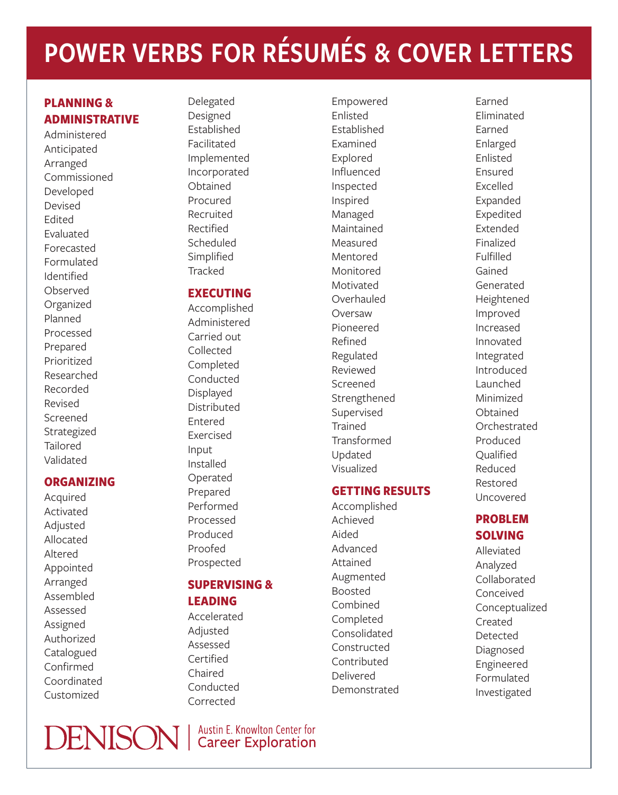# POWER VERBS FOR RÉSUMÉS & COVER LETTERS

# **PLANNING & ADMINISTRATIVE**

Administered Anticipated Arranged Commissioned Developed Devised Edited Evaluated Forecasted Formulated Identified Observed Organized Planned Processed Prepared Prioritized Researched Recorded Revised Screened Strategized Tailored Validated

## **ORGANIZING**

Acquired Activated Adjusted Allocated Altered Appointed Arranged Assembled Assessed Assigned Authorized Catalogued Confirmed Coordinated Customized

Delegated Designed Established Facilitated Implemented Incorporated Obtained Procured Recruited Rectified Scheduled Simplified **Tracked** 

# **EXECUTING**

Accomplished Administered Carried out Collected Completed Conducted Displayed Distributed Entered Exercised Input Installed Operated Prepared Performed Processed Produced Proofed Prospected

# **SUPERVISING &**

**LEADING**

Accelerated Adjusted Assessed Certified Chaired Conducted Corrected

**DENISON** | Austin E. Knowlton Center for

Empowered Enlisted Established Examined Explored Influenced Inspected Inspired Managed Maintained Measured Mentored Monitored Motivated **Overhauled** Oversaw Pioneered Refined Regulated Reviewed Screened Strengthened Supervised **Trained** Transformed Updated Visualized

## **GETTING RESULTS**

Accomplished Achieved Aided Advanced Attained Augmented Boosted Combined Completed Consolidated Constructed Contributed Delivered Demonstrated

Earned Eliminated Earned Enlarged Enlisted Ensured Excelled Expanded Expedited Extended Finalized Fulfilled Gained Generated Heightened Improved Increased Innovated Integrated Introduced Launched Minimized Obtained Orchestrated Produced **Oualified** Reduced Restored Uncovered

# **PROBLEM SOLVING**

Alleviated Analyzed Collaborated Conceived Conceptualized Created Detected Diagnosed Engineered Formulated Investigated